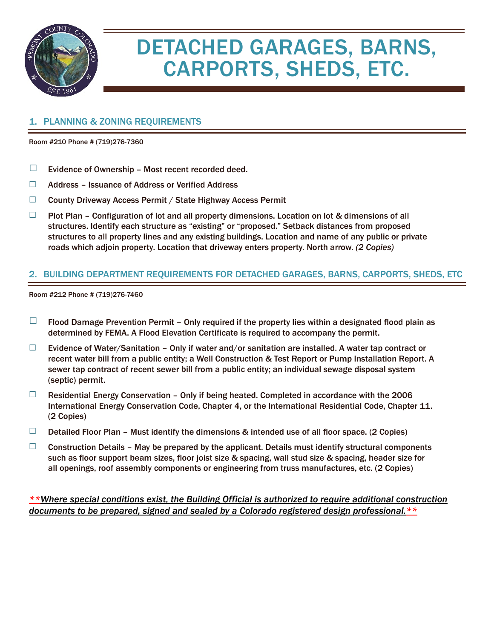

# DETACHED GARAGES, BARNS, CARPORTS, SHEDS, ETC.

#### 1. PLANNING & ZONING REQUIREMENTS

Room #210 Phone # (719)276-7360

- $\Box$  Evidence of Ownership Most recent recorded deed.
- ☐ Address Issuance of Address or Verified Address
- ☐ County Driveway Access Permit / State Highway Access Permit
- $\Box$  Plot Plan Configuration of lot and all property dimensions. Location on lot & dimensions of all structures. Identify each structure as "existing" or "proposed." Setback distances from proposed structures to all property lines and any existing buildings. Location and name of any public or private roads which adjoin property. Location that driveway enters property. North arrow. *(2 Copies)*

#### 2. BUILDING DEPARTMENT REQUIREMENTS FOR DETACHED GARAGES, BARNS, CARPORTS, SHEDS, ETC

Room #212 Phone # (719)276-7460

- $\Box$  Flood Damage Prevention Permit Only required if the property lies within a designated flood plain as determined by FEMA. A Flood Elevation Certificate is required to accompany the permit.
- $\Box$  Evidence of Water/Sanitation Only if water and/or sanitation are installed. A water tap contract or recent water bill from a public entity; a Well Construction & Test Report or Pump Installation Report. A sewer tap contract of recent sewer bill from a public entity; an individual sewage disposal system (septic) permit.
- $\Box$  Residential Energy Conservation Only if being heated. Completed in accordance with the 2006 International Energy Conservation Code, Chapter 4, or the International Residential Code, Chapter 11. (2 Copies)
- $\Box$  Detailed Floor Plan Must identify the dimensions & intended use of all floor space. (2 Copies)
- $\Box$  Construction Details May be prepared by the applicant. Details must identify structural components such as floor support beam sizes, floor joist size & spacing, wall stud size & spacing, header size for all openings, roof assembly components or engineering from truss manufactures, etc. (2 Copies)

*\*\*Where special conditions exist, the Building Official is authorized to require additional construction documents to be prepared, signed and sealed by a Colorado registered design professional.\*\**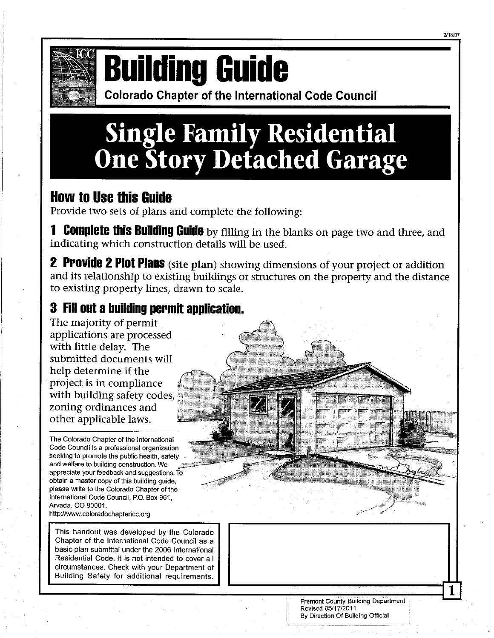

# **Building Guide**

**Colorado Chapter of the International Code Council** 

# **Single Family Residential<br>One Story Detached Garage**

### **How to Use this Guide**

Provide two sets of plans and complete the following:

1 Complete this Building Guide by filling in the blanks on page two and three, and indicating which construction details will be used.

**2 Provide 2 Plot Plans** (site plan) showing dimensions of your project or addition and its relationship to existing buildings or structures on the property and the distance to existing property lines, drawn to scale.

### 3 Fill out a building permit application.

The majority of permit applications are processed with little delay. The submitted documents will help determine if the project is in compliance with building safety codes. zoning ordinances and other applicable laws.

The Colorado Chapter of the International Code Council is a professional organization seeking to promote the public health, safety and welfare to building construction. We appreciate your feedback and suggestions. To obtain a master copy of this building guide, please write to the Colorado Chapter of the International Code Council, P.O. Box 961, Arvada, CO 80001. http://www.coloradochaptericc.org

This handout was developed by the Colorado Chapter of the International Code Council as a basic plan submittal under the 2006 International Residential Code. It is not intended to cover all circumstances. Check with your Department of Building Safety for additional requirements.

> Fremont County Building Department Revised 05/17/2011 By Direction Of Building Official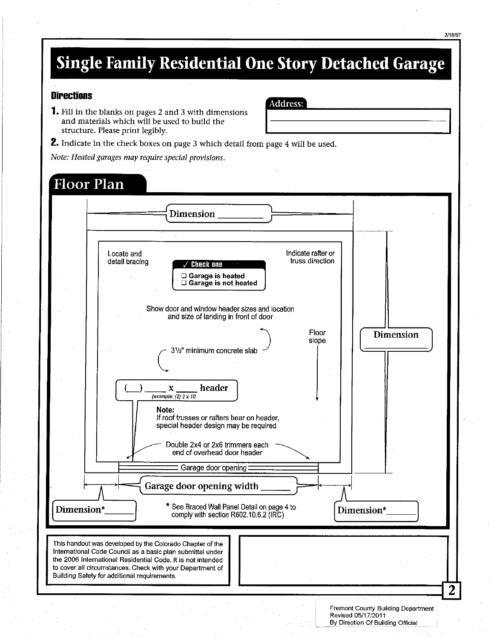# **Single Family Residential One Story Detached Garage**

#### **Directions**

**1.** Fill in the blanks on pages 2 and 3 with dimensions and materials which will be used to build the structure. Please print legibly.

**Address:** 

**2.** Indicate in the check boxes on page 3 which detail from page 4 will be used.

Note: Heated garages may require special provisions.

#### **Floor Plan Dimension** Locate and Indicate rafter or truss direction detail bracing Check one □ Garage is heated  $\Box$  Garage is not heated Show door and window header sizes and location and size of landing in front of door Floor Dimension slope 3<sup>1</sup>/<sub>2</sub>" minimum concrete slab header  $\mathbf X$ (example:  $(2)$  2 x 10 Note: If roof trusses or rafters bear on header, special header design may be required Double 2x4 or 2x6 trimmers each end of overhead door header Garage door opening: Garage door opening width \* See Braced Wall Panel Detail on page 4 to Dimension\* Dimension\* comply with section R602.10.6.2 (IRC) This handout was developed by the Colorado Chapter of the International Code Council as a basic plan submittal under the 2006 International Residential Code. It is not intended to cover all circumstances. Check with your Department of Building Safety for additional requirements. Fremont County Building Department Revised 05/17/2011

By Direction Of Building Official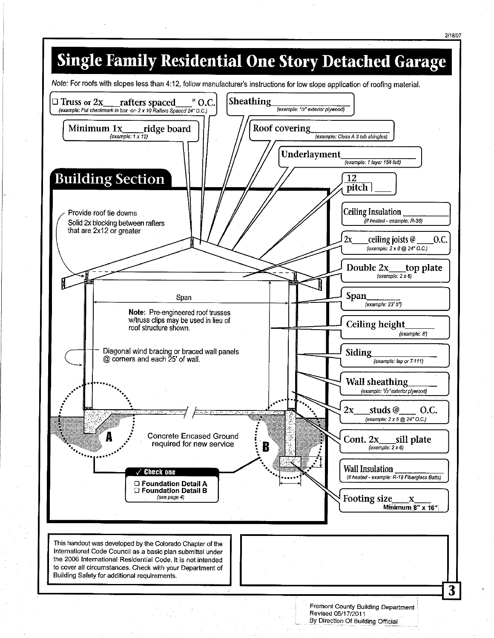

Fremont County Building Department Revised 05/17/2011 By Direction Of Building Official